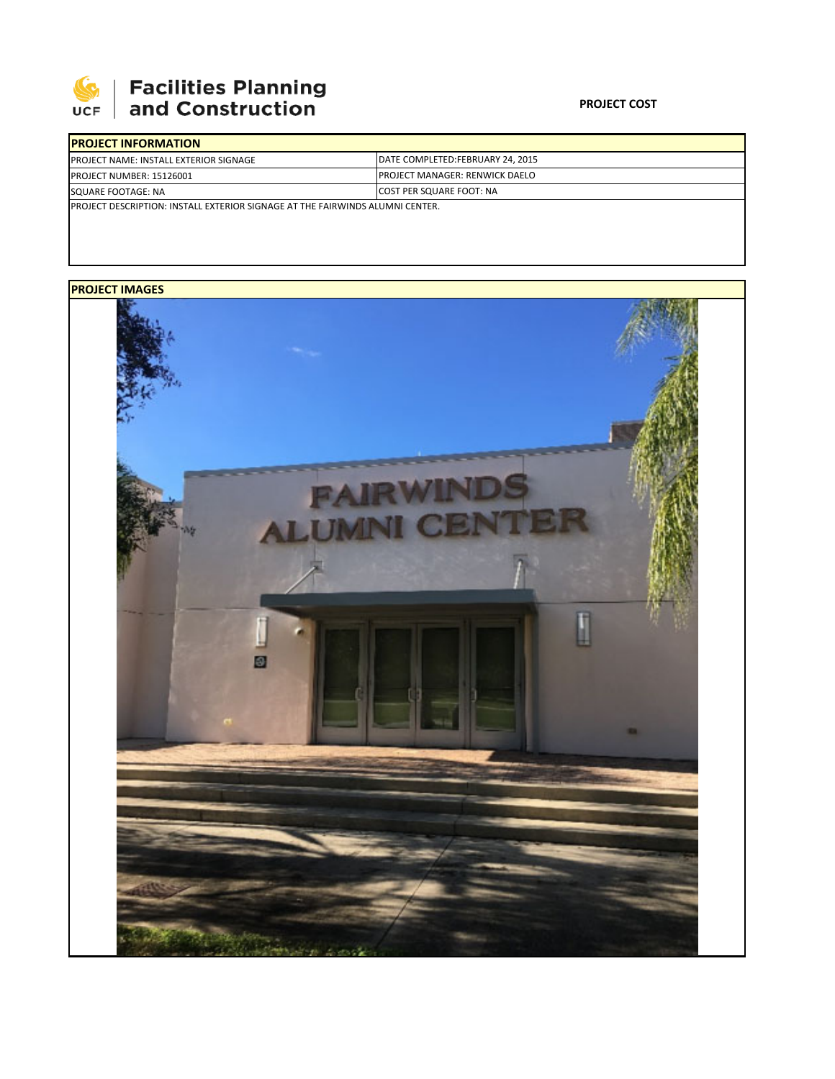

## **Facilities Planning<br>and Construction**

## **PROJECT COST**

| <b>IPROJECT INFORMATION</b>                                                           |                                        |  |  |  |
|---------------------------------------------------------------------------------------|----------------------------------------|--|--|--|
| <b>PROJECT NAME: INSTALL EXTERIOR SIGNAGE</b>                                         | DATE COMPLETED:FEBRUARY 24, 2015       |  |  |  |
| <b>PROJECT NUMBER: 15126001</b>                                                       | <b>IPROJECT MANAGER: RENWICK DAELO</b> |  |  |  |
| SQUARE FOOTAGE: NA                                                                    | <b>ICOST PER SQUARE FOOT: NA</b>       |  |  |  |
| <b>IPROJECT DESCRIPTION: INSTALL EXTERIOR SIGNAGE AT THE FAIRWINDS ALUMNI CENTER.</b> |                                        |  |  |  |